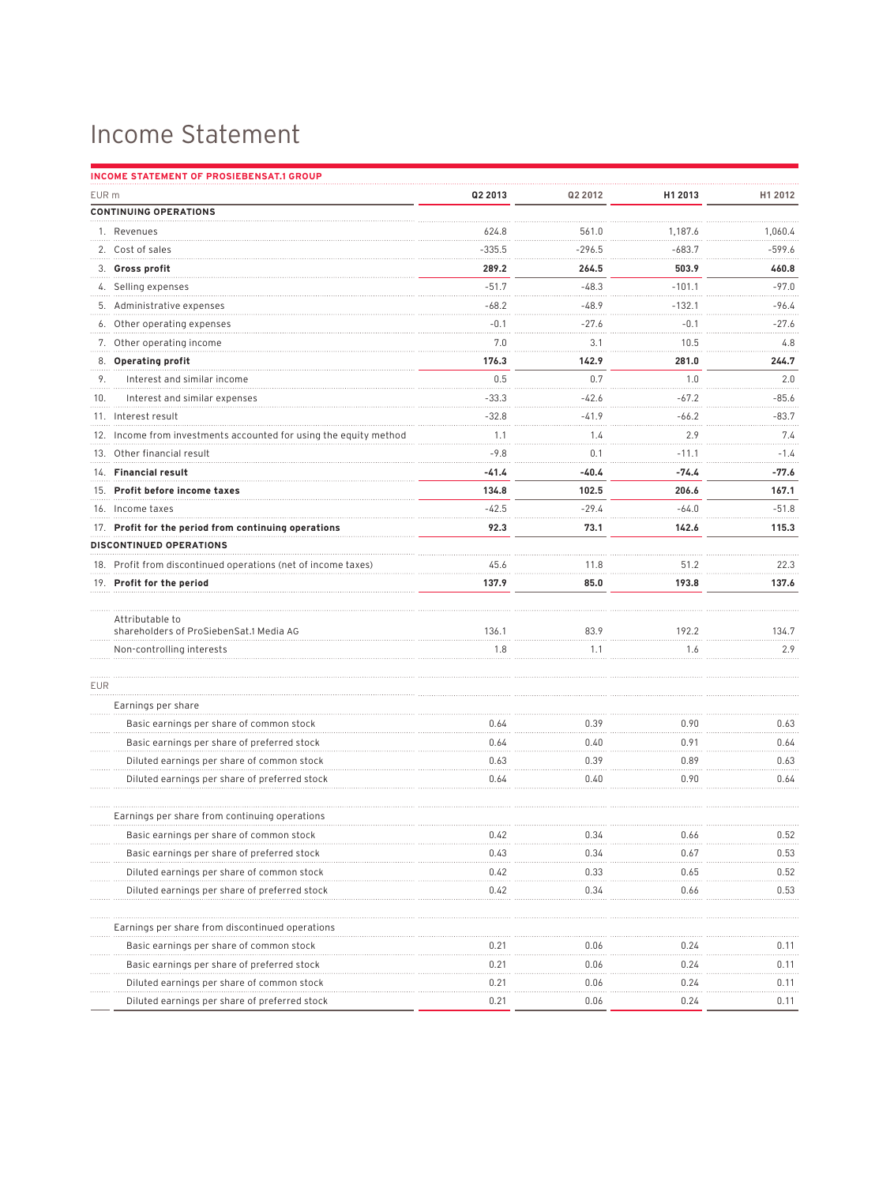## Income Statement

|       | <b>INCOME STATEMENT OF PROSIEBENSAT.1 GROUP</b>                   |          |          |              |             |  |  |  |
|-------|-------------------------------------------------------------------|----------|----------|--------------|-------------|--|--|--|
| EUR m |                                                                   | Q2 2013  | Q2 2012  | H1 2013      | H1 2012     |  |  |  |
|       | <b>CONTINUING OPERATIONS</b>                                      |          |          |              |             |  |  |  |
|       | 1. Revenues                                                       | 624.8    | 561.0    | 1.187.6      | 1,060.4     |  |  |  |
|       | 2. Cost of sales                                                  | $-335.5$ | $-296.5$ | $-683.7$     | $-599.6$    |  |  |  |
|       | 3. Gross profit                                                   | 289.2    | 264.5    | 503.9        | 460.8       |  |  |  |
|       | 4. Selling expenses                                               | $-51.7$  | $-48.3$  | $-101.1$     | $-97.0$     |  |  |  |
|       | 5. Administrative expenses                                        | -68.2    | $-48.9$  | $-132.1$     | -96.4       |  |  |  |
|       | 6. Other operating expenses                                       | $-0.1$   | $-27.6$  | $-0.1$       | $-27.6$     |  |  |  |
|       | 7. Other operating income                                         | 7.0      | 3.1      | 10.5         | 4.8         |  |  |  |
|       | 8. Operating profit                                               | 176.3    | 142.9    | 281.0        | 244.7       |  |  |  |
| 9.    | Interest and similar income                                       | 0.5      | 0.7      | 1.0          | 2.0<br>.    |  |  |  |
| 10.   | Interest and similar expenses                                     | $-33.3$  | $-42.6$  | $-67.2$      | $-85.6$     |  |  |  |
|       | 11. Interest result                                               | $-32.8$  | $-41.9$  | $-66.2$      | $-83.7$     |  |  |  |
|       | 12. Income from investments accounted for using the equity method | 1.1<br>. | 1.4<br>. | 2.9          | 7.4         |  |  |  |
|       | 13. Other financial result                                        | $-9.8$   | 0.1      | .<br>$-11.1$ | .<br>$-1.4$ |  |  |  |
|       | 14. Financial result                                              | -41.4    | $-40.4$  | $-74.4$      | -77.6       |  |  |  |
|       | 15. Profit before income taxes                                    | 134.8    | 102.5    | 206.6        | 167.1       |  |  |  |
|       | 16. Income taxes                                                  | $-42.5$  | $-29.4$  | $-64.0$      | $-51.8$     |  |  |  |
|       | 17. Profit for the period from continuing operations              | 92.3     | 73.1     | 142.6        | 115.3       |  |  |  |
|       | <b>DISCONTINUED OPERATIONS</b>                                    |          |          |              |             |  |  |  |
|       | 18. Profit from discontinued operations (net of income taxes)     | 45.6     | 11.8     | 51.2         | 22.3        |  |  |  |
|       | 19. Profit for the period                                         | 137.9    | 85.0     | 193.8        | 137.6       |  |  |  |
|       | Attributable to                                                   |          |          |              |             |  |  |  |
|       | shareholders of ProSiebenSat.1 Media AG                           | 136.1    | 83.9     | 192.2        | 134.7       |  |  |  |
|       | Non-controlling interests                                         | 1.8      | 1.1      | 1.6          | 2.9         |  |  |  |
| EUR   |                                                                   |          |          |              |             |  |  |  |
|       | Earnings per share                                                |          |          |              |             |  |  |  |
|       | Basic earnings per share of common stock                          | 0.64     | 0.39     | 0.90         | 0.63        |  |  |  |
|       | Basic earnings per share of preferred stock                       | 0.64     | 0.40     | 0.91         | 0.64        |  |  |  |
|       | Diluted earnings per share of common stock                        | 0.63     | 0.39     | 0.89         | 0.63        |  |  |  |
|       | Diluted earnings per share of preferred stock                     | 0.64     | 0.40     | 0.90         | 0.64        |  |  |  |
|       | Earnings per share from continuing operations                     |          |          |              |             |  |  |  |
|       | Basic earnings per share of common stock                          | 0.42     | 0.34     | 0.66         | 0.52        |  |  |  |
|       | Basic earnings per share of preferred stock                       | 0.43     | 0.34     | 0.67         | 0.53        |  |  |  |
|       | Diluted earnings per share of common stock                        | 0.42     | 0.33     | 0.65         | 0.52        |  |  |  |
|       | Diluted earnings per share of preferred stock                     | 0.42     | 0.34     | 0.66         | 0.53        |  |  |  |
|       | Earnings per share from discontinued operations                   |          |          |              |             |  |  |  |
|       | Basic earnings per share of common stock                          | 0.21     | 0.06     | 0.24         | 0.11        |  |  |  |
|       | Basic earnings per share of preferred stock                       | 0.21     | 0.06     | 0.24         | 0.11        |  |  |  |
|       | Diluted earnings per share of common stock                        | 0.21     | 0.06     | 0.24         | 0.11        |  |  |  |
|       | Diluted earnings per share of preferred stock                     | 0.21     | 0.06     | 0.24         | 0.11        |  |  |  |